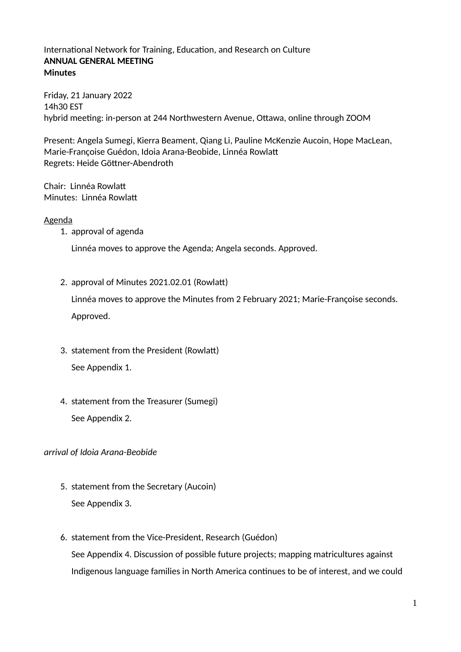# International Network for Training, Education, and Research on Culture **ANNUAL GENERAL MEETING Minutes**

Friday, 21 January 2022 14h30 EST hybrid meeting: in-person at 244 Northwestern Avenue, Ottawa, online through ZOOM

Present: Angela Sumegi, Kierra Beament, Qiang Li, Pauline McKenzie Aucoin, Hope MacLean, Marie-Françoise Guédon, Idoia Arana-Beobide, Linnéa Rowlatt Regrets: Heide Göttner-Abendroth

Chair: Linnéa Rowlatt Minutes: Linnéa Rowlatt

# Agenda

1. approval of agenda

Linnéa moves to approve the Agenda; Angela seconds. Approved.

2. approval of Minutes 2021.02.01 (Rowlatt)

Linnéa moves to approve the Minutes from 2 February 2021; Marie-Françoise seconds. Approved.

- 3. statement from the President (Rowlatt) See Appendix 1.
- 4. statement from the Treasurer (Sumegi) See Appendix 2.

*arrival of Idoia Arana-Beobide*

- 5. statement from the Secretary (Aucoin) See Appendix 3.
- 6. statement from the Vice-President, Research (Guédon)

See Appendix 4. Discussion of possible future projects; mapping matricultures against Indigenous language families in North America continues to be of interest, and we could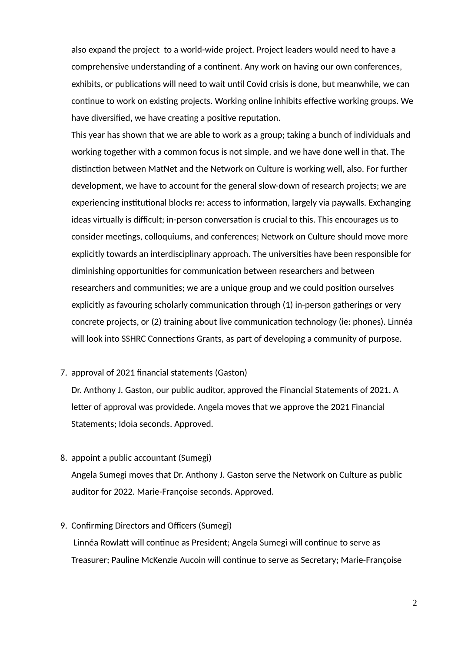also expand the project to a world-wide project. Project leaders would need to have a comprehensive understanding of a continent. Any work on having our own conferences, exhibits, or publications will need to wait until Covid crisis is done, but meanwhile, we can continue to work on existing projects. Working online inhibits effective working groups. We have diversified, we have creating a positive reputation.

This year has shown that we are able to work as a group; taking a bunch of individuals and working together with a common focus is not simple, and we have done well in that. The distinction between MatNet and the Network on Culture is working well, also. For further development, we have to account for the general slow-down of research projects; we are experiencing institutional blocks re: access to information, largely via paywalls. Exchanging ideas virtually is difficult; in-person conversation is crucial to this. This encourages us to consider meetings, colloquiums, and conferences; Network on Culture should move more explicitly towards an interdisciplinary approach. The universities have been responsible for diminishing opportunities for communication between researchers and between researchers and communities; we are a unique group and we could position ourselves explicitly as favouring scholarly communication through (1) in-person gatherings or very concrete projects, or (2) training about live communication technology (ie: phones). Linnéa will look into SSHRC Connections Grants, as part of developing a community of purpose.

#### 7. approval of 2021 financial statements (Gaston)

Dr. Anthony J. Gaston, our public auditor, approved the Financial Statements of 2021. A letter of approval was providede. Angela moves that we approve the 2021 Financial Statements; Idoia seconds. Approved.

8. appoint a public accountant (Sumegi)

Angela Sumegi moves that Dr. Anthony J. Gaston serve the Network on Culture as public auditor for 2022. Marie-Françoise seconds. Approved.

# 9. Confirming Directors and Officers (Sumegi)

 Linnéa Rowlatt will continue as President; Angela Sumegi will continue to serve as Treasurer; Pauline McKenzie Aucoin will continue to serve as Secretary; Marie-Françoise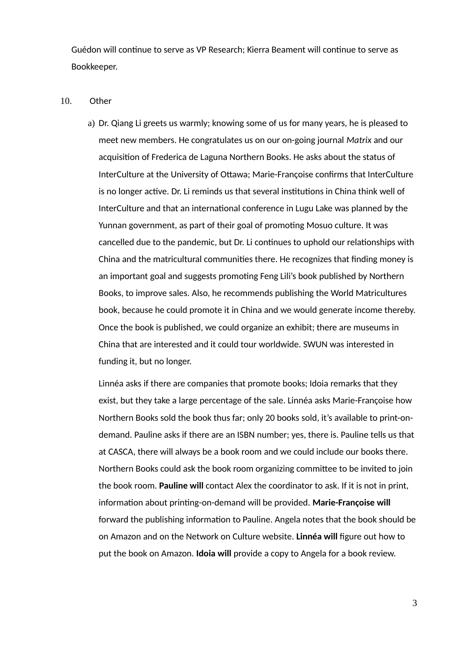Guédon will continue to serve as VP Research; Kierra Beament will continue to serve as Bookkeeper.

#### 10. Other

a) Dr. Qiang Li greets us warmly; knowing some of us for many years, he is pleased to meet new members. He congratulates us on our on-going journal *Matrix* and our acquisition of Frederica de Laguna Northern Books. He asks about the status of InterCulture at the University of Ottawa; Marie-Françoise confirms that InterCulture is no longer active. Dr. Li reminds us that several institutions in China think well of InterCulture and that an international conference in Lugu Lake was planned by the Yunnan government, as part of their goal of promoting Mosuo culture. It was cancelled due to the pandemic, but Dr. Li continues to uphold our relationships with China and the matricultural communities there. He recognizes that finding money is an important goal and suggests promoting Feng Lili's book published by Northern Books, to improve sales. Also, he recommends publishing the World Matricultures book, because he could promote it in China and we would generate income thereby. Once the book is published, we could organize an exhibit; there are museums in China that are interested and it could tour worldwide. SWUN was interested in funding it, but no longer.

Linnéa asks if there are companies that promote books; Idoia remarks that they exist, but they take a large percentage of the sale. Linnéa asks Marie-Françoise how Northern Books sold the book thus far; only 20 books sold, it's available to print-ondemand. Pauline asks if there are an ISBN number; yes, there is. Pauline tells us that at CASCA, there will always be a book room and we could include our books there. Northern Books could ask the book room organizing committee to be invited to join the book room. **Pauline will** contact Alex the coordinator to ask. If it is not in print, information about printing-on-demand will be provided. **Marie-Françoise will** forward the publishing information to Pauline. Angela notes that the book should be on Amazon and on the Network on Culture website. **Linnéa will** figure out how to put the book on Amazon. **Idoia will** provide a copy to Angela for a book review.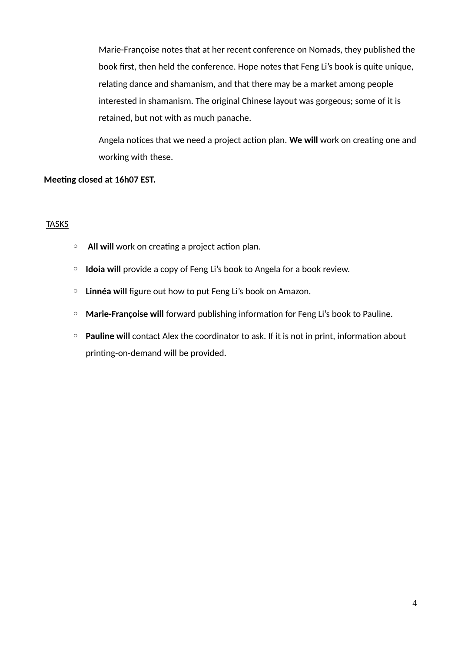Marie-Françoise notes that at her recent conference on Nomads, they published the book first, then held the conference. Hope notes that Feng Li's book is quite unique, relating dance and shamanism, and that there may be a market among people interested in shamanism. The original Chinese layout was gorgeous; some of it is retained, but not with as much panache.

Angela notices that we need a project action plan. **We will** work on creating one and working with these.

# **Meeting closed at 16h07 EST.**

# **TASKS**

- **All will** work on creating a project action plan.
- **Idoia will** provide a copy of Feng Li's book to Angela for a book review.
- **Linnéa will** figure out how to put Feng Li's book on Amazon.
- **Marie-Françoise will** forward publishing information for Feng Li's book to Pauline.
- **Pauline will** contact Alex the coordinator to ask. If it is not in print, information about printing-on-demand will be provided.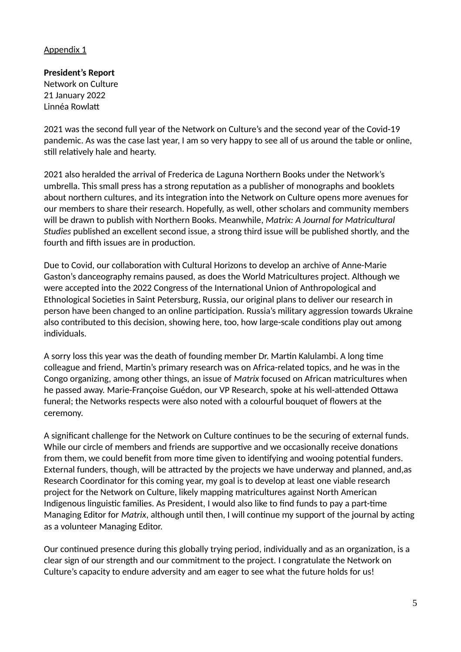# **President's Report**

Network on Culture 21 January 2022 Linnéa Rowlatt

2021 was the second full year of the Network on Culture's and the second year of the Covid-19 pandemic. As was the case last year, I am so very happy to see all of us around the table or online, still relatively hale and hearty.

2021 also heralded the arrival of Frederica de Laguna Northern Books under the Network's umbrella. This small press has a strong reputation as a publisher of monographs and booklets about northern cultures, and its integration into the Network on Culture opens more avenues for our members to share their research. Hopefully, as well, other scholars and community members will be drawn to publish with Northern Books. Meanwhile, *Matrix: A Journal for Matricultural Studies* published an excellent second issue, a strong third issue will be published shortly, and the fourth and fifth issues are in production.

Due to Covid, our collaboration with Cultural Horizons to develop an archive of Anne-Marie Gaston's danceography remains paused, as does the World Matricultures project. Although we were accepted into the 2022 Congress of the International Union of Anthropological and Ethnological Societies in Saint Petersburg, Russia, our original plans to deliver our research in person have been changed to an online participation. Russia's military aggression towards Ukraine also contributed to this decision, showing here, too, how large-scale conditions play out among individuals.

A sorry loss this year was the death of founding member Dr. Martin Kalulambi. A long time colleague and friend, Martin's primary research was on Africa-related topics, and he was in the Congo organizing, among other things, an issue of *Matrix* focused on African matricultures when he passed away. Marie-Françoise Guédon, our VP Research, spoke at his well-attended Ottawa funeral; the Networks respects were also noted with a colourful bouquet of flowers at the ceremony.

A significant challenge for the Network on Culture continues to be the securing of external funds. While our circle of members and friends are supportive and we occasionally receive donations from them, we could benefit from more time given to identifying and wooing potential funders. External funders, though, will be attracted by the projects we have underway and planned, and,as Research Coordinator for this coming year, my goal is to develop at least one viable research project for the Network on Culture, likely mapping matricultures against North American Indigenous linguistic families. As President, I would also like to find funds to pay a part-time Managing Editor for *Matrix*, although until then, I will continue my support of the journal by acting as a volunteer Managing Editor.

Our continued presence during this globally trying period, individually and as an organization, is a clear sign of our strength and our commitment to the project. I congratulate the Network on Culture's capacity to endure adversity and am eager to see what the future holds for us!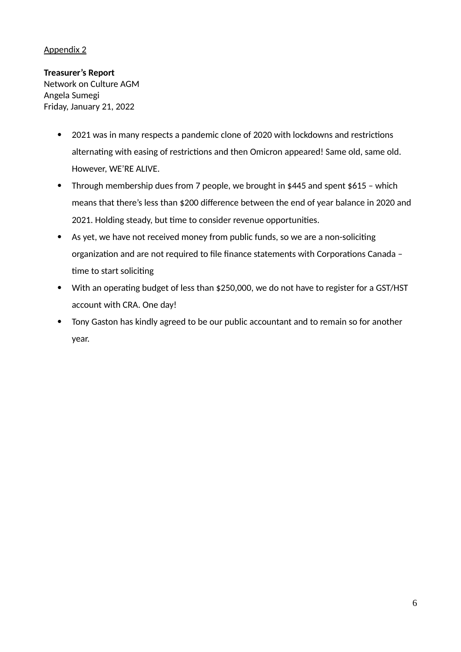**Treasurer's Report** Network on Culture AGM Angela Sumegi Friday, January 21, 2022

- 2021 was in many respects a pandemic clone of 2020 with lockdowns and restrictions alternating with easing of restrictions and then Omicron appeared! Same old, same old. However, WE'RE ALIVE.
- Through membership dues from 7 people, we brought in \$445 and spent \$615 which means that there's less than \$200 difference between the end of year balance in 2020 and 2021. Holding steady, but time to consider revenue opportunities.
- As yet, we have not received money from public funds, so we are a non-soliciting organization and are not required to file finance statements with Corporations Canada – time to start soliciting
- With an operating budget of less than \$250,000, we do not have to register for a GST/HST account with CRA. One day!
- Tony Gaston has kindly agreed to be our public accountant and to remain so for another year.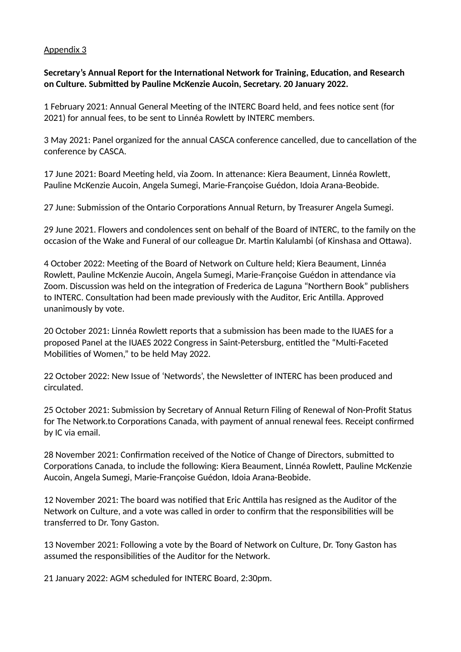**Secretary's Annual Report for the International Network for Training, Education, and Research on Culture. Submitted by Pauline McKenzie Aucoin, Secretary. 20 January 2022.**

1 February 2021: Annual General Meeting of the INTERC Board held, and fees notice sent (for 2021) for annual fees, to be sent to Linnéa Rowlett by INTERC members.

3 May 2021: Panel organized for the annual CASCA conference cancelled, due to cancellation of the conference by CASCA.

17 June 2021: Board Meeting held, via Zoom. In attenance: Kiera Beaument, Linnéa Rowlett, Pauline McKenzie Aucoin, Angela Sumegi, Marie-Françoise Guédon, Idoia Arana-Beobide.

27 June: Submission of the Ontario Corporations Annual Return, by Treasurer Angela Sumegi.

29 June 2021. Flowers and condolences sent on behalf of the Board of INTERC, to the family on the occasion of the Wake and Funeral of our colleague Dr. Martin Kalulambi (of Kinshasa and Ottawa).

4 October 2022: Meeting of the Board of Network on Culture held; Kiera Beaument, Linnéa Rowlett, Pauline McKenzie Aucoin, Angela Sumegi, Marie-Françoise Guédon in attendance via Zoom. Discussion was held on the integration of Frederica de Laguna "Northern Book" publishers to INTERC. Consultation had been made previously with the Auditor, Eric Antilla. Approved unanimously by vote.

20 October 2021: Linnéa Rowlett reports that a submission has been made to the IUAES for a proposed Panel at the IUAES 2022 Congress in Saint-Petersburg, entitled the "Multi-Faceted Mobilities of Women," to be held May 2022.

22 October 2022: New Issue of 'Networds', the Newsletter of INTERC has been produced and circulated.

25 October 2021: Submission by Secretary of Annual Return Filing of Renewal of Non-Profit Status for The Network.to Corporations Canada, with payment of annual renewal fees. Receipt confirmed by IC via email.

28 November 2021: Confirmation received of the Notice of Change of Directors, submitted to Corporations Canada, to include the following: Kiera Beaument, Linnéa Rowlett, Pauline McKenzie Aucoin, Angela Sumegi, Marie-Françoise Guédon, Idoia Arana-Beobide.

12 November 2021: The board was notified that Eric Anttila has resigned as the Auditor of the Network on Culture, and a vote was called in order to confirm that the responsibilities will be transferred to Dr. Tony Gaston.

13 November 2021: Following a vote by the Board of Network on Culture, Dr. Tony Gaston has assumed the responsibilities of the Auditor for the Network.

21 January 2022: AGM scheduled for INTERC Board, 2:30pm.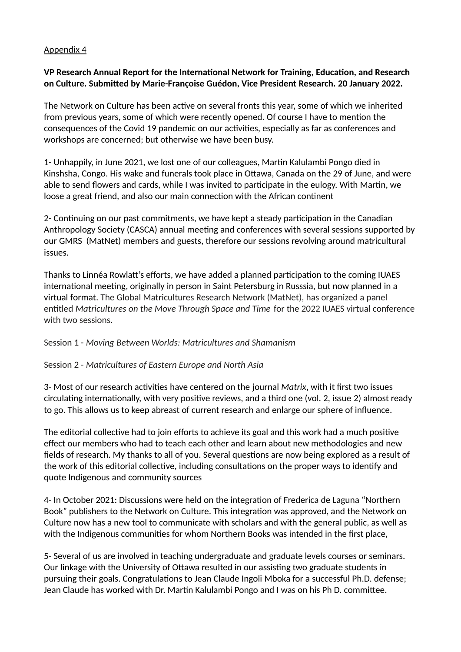# **VP Research Annual Report for the International Network for Training, Education, and Research on Culture. Submitted by Marie-Françoise Guédon, Vice President Research. 20 January 2022.**

The Network on Culture has been active on several fronts this year, some of which we inherited from previous years, some of which were recently opened. Of course I have to mention the consequences of the Covid 19 pandemic on our activities, especially as far as conferences and workshops are concerned; but otherwise we have been busy.

1- Unhappily, in June 2021, we lost one of our colleagues, Martin Kalulambi Pongo died in Kinshsha, Congo. His wake and funerals took place in Ottawa, Canada on the 29 of June, and were able to send flowers and cards, while I was invited to participate in the eulogy. With Martin, we loose a great friend, and also our main connection with the African continent

2- Continuing on our past commitments, we have kept a steady participation in the Canadian Anthropology Society (CASCA) annual meeting and conferences with several sessions supported by our GMRS (MatNet) members and guests, therefore our sessions revolving around matricultural issues.

Thanks to Linnéa Rowlatt's efforts, we have added a planned participation to the coming IUAES international meeting, originally in person in Saint Petersburg in Russsia, but now planned in a virtual format. The Global Matricultures Research Network (MatNet), has organized a panel entitled *Matricultures on the Move Through Space and Time* for the 2022 IUAES virtual conference with two sessions.

Session 1 - *Moving Between Worlds: Matricultures and Shamanism*

Session 2 - *Matricultures of Eastern Europe and North Asia*

3- Most of our research activities have centered on the journal *Matrix*, with it first two issues circulating internationally, with very positive reviews, and a third one (vol. 2, issue 2) almost ready to go. This allows us to keep abreast of current research and enlarge our sphere of influence.

The editorial collective had to join efforts to achieve its goal and this work had a much positive effect our members who had to teach each other and learn about new methodologies and new fields of research. My thanks to all of you. Several questions are now being explored as a result of the work of this editorial collective, including consultations on the proper ways to identify and quote Indigenous and community sources

4- In October 2021: Discussions were held on the integration of Frederica de Laguna "Northern Book" publishers to the Network on Culture. This integration was approved, and the Network on Culture now has a new tool to communicate with scholars and with the general public, as well as with the Indigenous communities for whom Northern Books was intended in the first place,

5- Several of us are involved in teaching undergraduate and graduate levels courses or seminars. Our linkage with the University of Ottawa resulted in our assisting two graduate students in pursuing their goals. Congratulations to Jean Claude Ingoli Mboka for a successful Ph.D. defense; Jean Claude has worked with Dr. Martin Kalulambi Pongo and I was on his Ph D. committee.